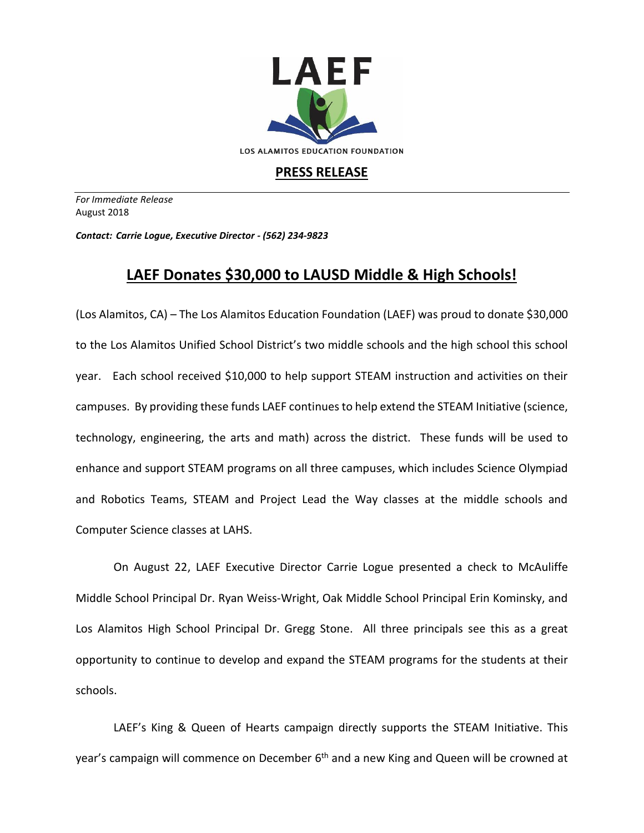

## **PRESS RELEASE**

*For Immediate Release*  August 2018

*Contact: Carrie Logue, Executive Director - (562) 234-9823*

## **LAEF Donates \$30,000 to LAUSD Middle & High Schools!**

(Los Alamitos, CA) – The Los Alamitos Education Foundation (LAEF) was proud to donate \$30,000 to the Los Alamitos Unified School District's two middle schools and the high school this school year. Each school received \$10,000 to help support STEAM instruction and activities on their campuses. By providing these funds LAEF continues to help extend the STEAM Initiative (science, technology, engineering, the arts and math) across the district. These funds will be used to enhance and support STEAM programs on all three campuses, which includes Science Olympiad and Robotics Teams, STEAM and Project Lead the Way classes at the middle schools and Computer Science classes at LAHS.

On August 22, LAEF Executive Director Carrie Logue presented a check to McAuliffe Middle School Principal Dr. Ryan Weiss-Wright, Oak Middle School Principal Erin Kominsky, and Los Alamitos High School Principal Dr. Gregg Stone. All three principals see this as a great opportunity to continue to develop and expand the STEAM programs for the students at their schools.

LAEF's King & Queen of Hearts campaign directly supports the STEAM Initiative. This year's campaign will commence on December 6<sup>th</sup> and a new King and Queen will be crowned at